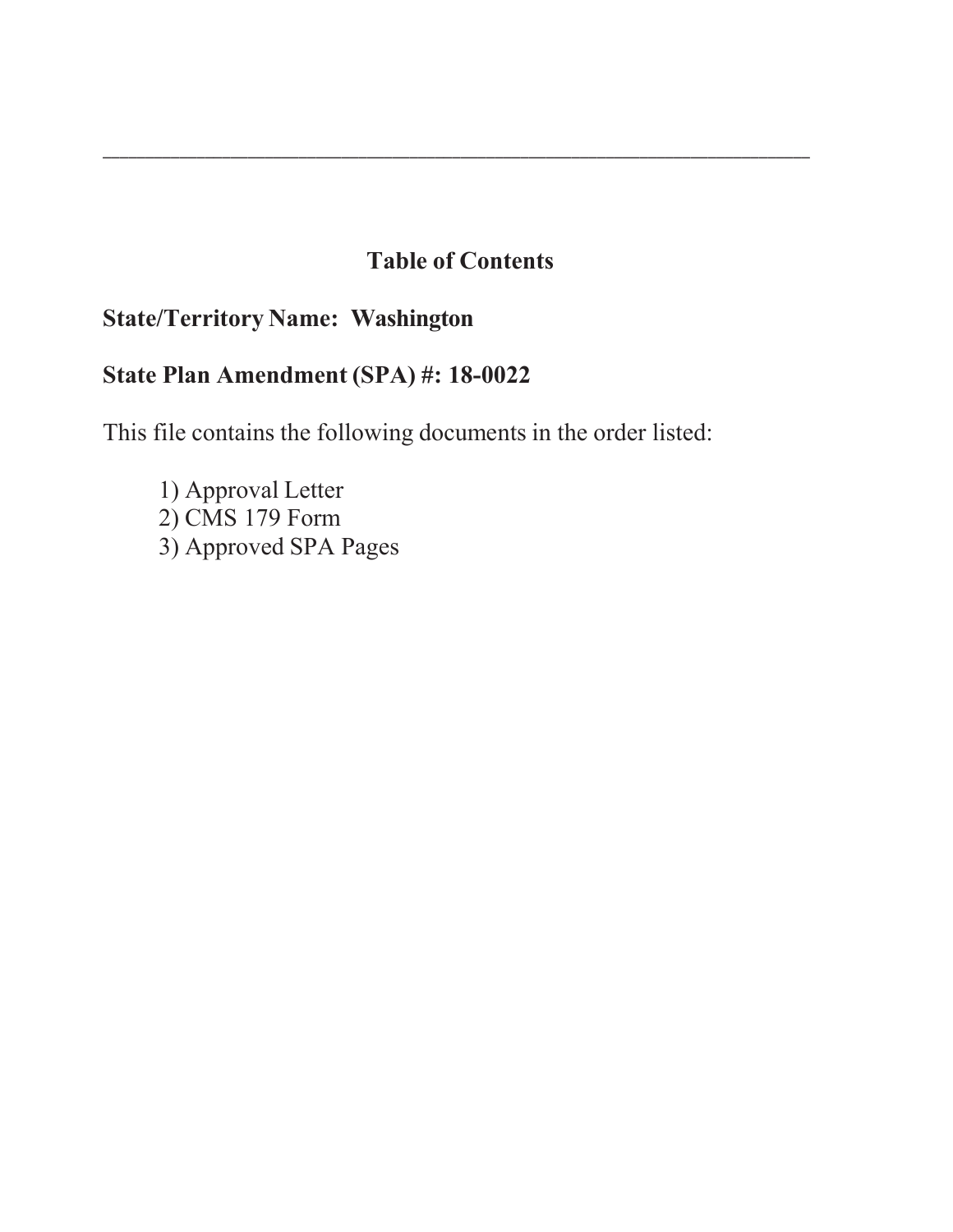# **Table of Contents**

\_\_\_\_\_\_\_\_\_\_\_\_\_\_\_\_\_\_\_\_\_\_\_\_\_\_\_\_\_\_\_\_\_\_\_\_\_\_\_\_\_\_\_\_\_\_\_\_\_\_\_\_\_\_\_\_\_\_\_\_\_\_\_\_\_\_\_\_\_\_\_\_\_\_\_\_\_\_\_\_\_\_\_

## **State/Territory Name: Washington**

## **State Plan Amendment (SPA) #: 18-00**

This file contains the following documents in the order listed:

1) Approval Letter  $2)$  CMS 179 Form 3) Approved SPA Pages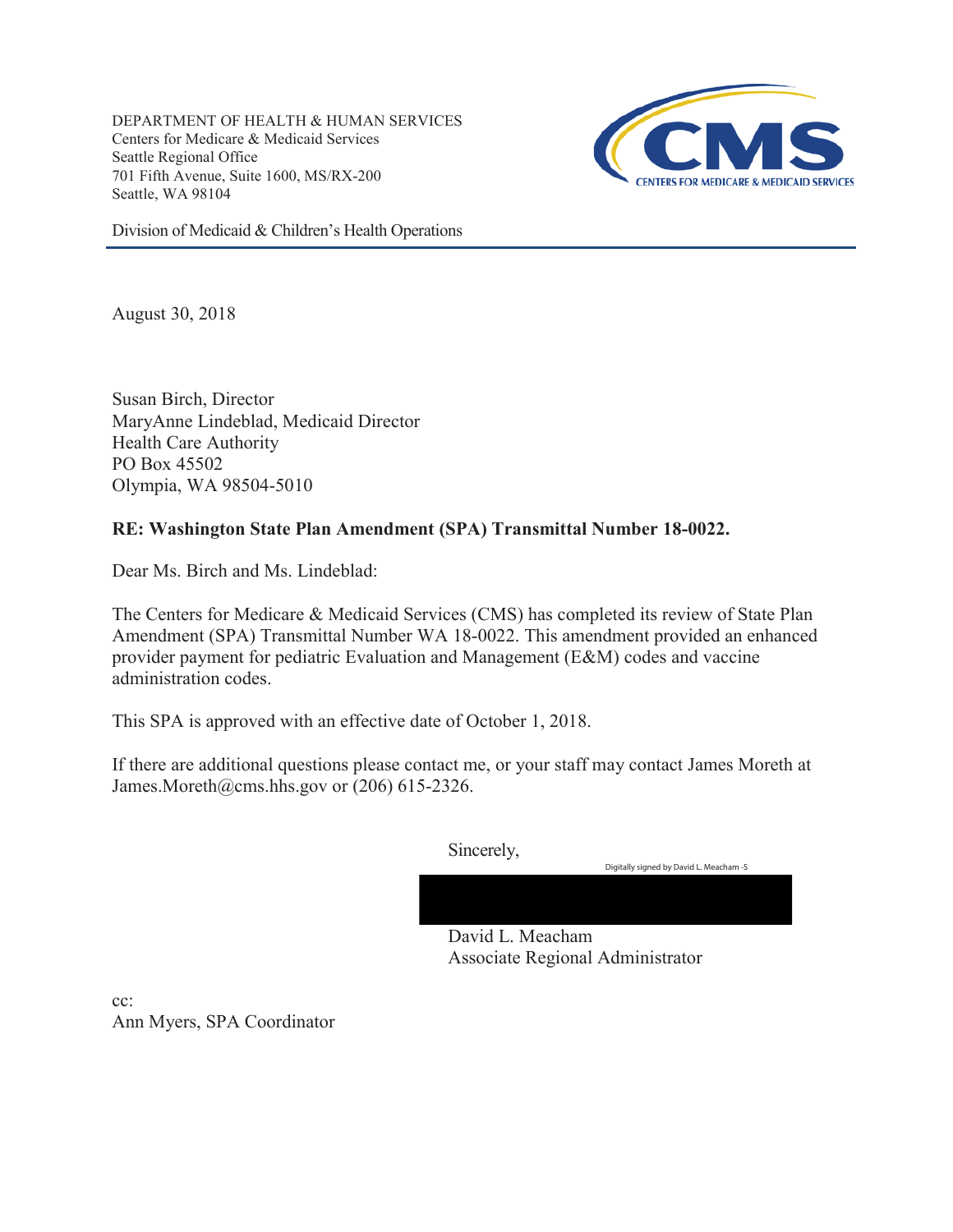DEPARTMENT OF HEALTH & HUMAN SERVICES Centers for Medicare & Medicaid Services Seattle Regional Office 701 Fifth Avenue, Suite 1600, MS/RX-200 Seattle, WA 98104



Division of Medicaid & Children's Health Operations

August 30, 2018

Susan Birch, Director MaryAnne Lindeblad, Medicaid Director Health Care Authority PO Box 45502 Olympia, WA 98504-5010

## **RE: Washington State Plan Amendment (SPA) Transmittal Number 18-0022.**

Dear Ms. Birch and Ms. Lindeblad:

The Centers for Medicare & Medicaid Services (CMS) has completed its review of State Plan Amendment (SPA) Transmittal Number WA 18-0022. This amendment provided an enhanced provider payment for pediatric Evaluation and Management (E&M) codes and vaccine administration codes.

This SPA is approved with an effective date of October 1, 2018.

If there are additional questions please contact me, or your staff may contact James Moreth at James.Moreth@cms.hhs.gov or (206) 615-2326.

Sincerely,

Digitally signed by David L. Meacham -S

David L. Meacham Associate Regional Administrator

cc: Ann Myers, SPA Coordinator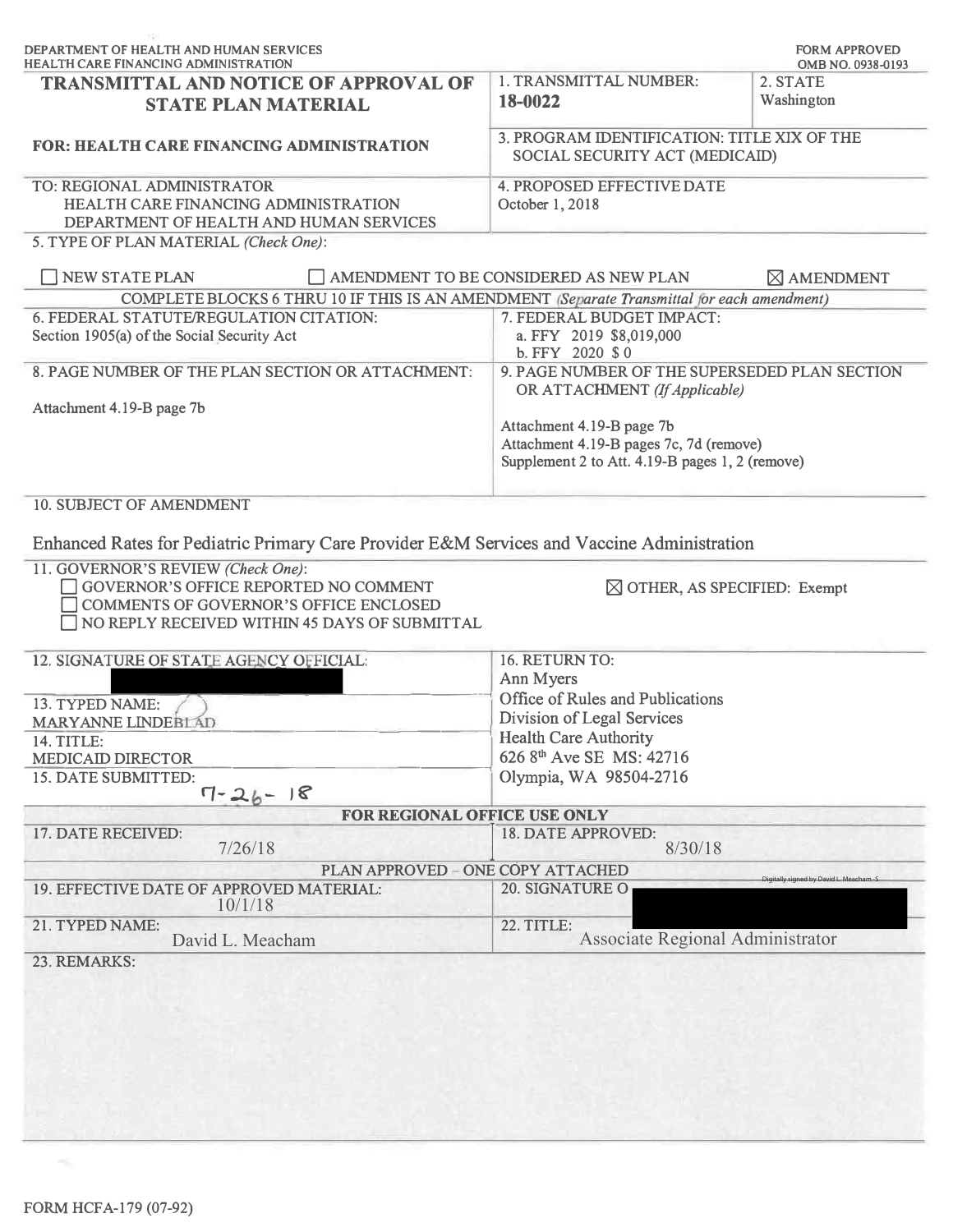| <b>TRANSMITTAL AND NOTICE OF APPROVAL OF</b>                                                                                                                                         | 1. TRANSMITTAL NUMBER:                                                                                                                                                                                    | OMB NO. 0938-0193<br>2. STATE          |
|--------------------------------------------------------------------------------------------------------------------------------------------------------------------------------------|-----------------------------------------------------------------------------------------------------------------------------------------------------------------------------------------------------------|----------------------------------------|
| <b>STATE PLAN MATERIAL</b>                                                                                                                                                           | 18-0022                                                                                                                                                                                                   | Washington                             |
| <b>FOR: HEALTH CARE FINANCING ADMINISTRATION</b>                                                                                                                                     | 3. PROGRAM IDENTIFICATION: TITLE XIX OF THE<br>SOCIAL SECURITY ACT (MEDICAID)                                                                                                                             |                                        |
| TO: REGIONAL ADMINISTRATOR<br>HEALTH CARE FINANCING ADMINISTRATION<br>DEPARTMENT OF HEALTH AND HUMAN SERVICES<br>5. TYPE OF PLAN MATERIAL (Check One):                               | <b>4. PROPOSED EFFECTIVE DATE</b><br>October 1, 2018                                                                                                                                                      |                                        |
| NEW STATE PLAN                                                                                                                                                                       | AMENDMENT TO BE CONSIDERED AS NEW PLAN                                                                                                                                                                    | $\boxtimes$ AMENDMENT                  |
| COMPLETE BLOCKS 6 THRU 10 IF THIS IS AN AMENDMENT (Separate Transmittal for each amendment)                                                                                          |                                                                                                                                                                                                           |                                        |
| 6. FEDERAL STATUTE/REGULATION CITATION:<br>Section 1905(a) of the Social Security Act                                                                                                | 7. FEDERAL BUDGET IMPACT:<br>a. FFY 2019 \$8,019,000<br>b. FFY 2020 \$0                                                                                                                                   |                                        |
| 8. PAGE NUMBER OF THE PLAN SECTION OR ATTACHMENT:                                                                                                                                    | 9. PAGE NUMBER OF THE SUPERSEDED PLAN SECTION<br>OR ATTACHMENT (If Applicable)<br>Attachment 4.19-B page 7b<br>Attachment 4.19-B pages 7c, 7d (remove)<br>Supplement 2 to Att. 4.19-B pages 1, 2 (remove) |                                        |
| Attachment 4.19-B page 7b                                                                                                                                                            |                                                                                                                                                                                                           |                                        |
| 10. SUBJECT OF AMENDMENT                                                                                                                                                             |                                                                                                                                                                                                           |                                        |
| Enhanced Rates for Pediatric Primary Care Provider E&M Services and Vaccine Administration                                                                                           |                                                                                                                                                                                                           |                                        |
| 11. GOVERNOR'S REVIEW (Check One):<br><b>GOVERNOR'S OFFICE REPORTED NO COMMENT</b><br><b>COMMENTS OF GOVERNOR'S OFFICE ENCLOSED</b><br>NO REPLY RECEIVED WITHIN 45 DAYS OF SUBMITTAL | $\boxtimes$ OTHER, AS SPECIFIED: Exempt                                                                                                                                                                   |                                        |
| 12. SIGNATURE OF STATE AGENCY OFFICIAL:                                                                                                                                              | 16. RETURN TO:                                                                                                                                                                                            |                                        |
|                                                                                                                                                                                      | Ann Myers                                                                                                                                                                                                 |                                        |
| 13. TYPED NAME:                                                                                                                                                                      | Office of Rules and Publications                                                                                                                                                                          |                                        |
|                                                                                                                                                                                      | Division of Legal Services                                                                                                                                                                                |                                        |
|                                                                                                                                                                                      |                                                                                                                                                                                                           |                                        |
|                                                                                                                                                                                      | <b>Health Care Authority</b>                                                                                                                                                                              |                                        |
|                                                                                                                                                                                      | 626 8 <sup>th</sup> Ave SE MS: 42716                                                                                                                                                                      |                                        |
| $7 - 26 - 18$                                                                                                                                                                        | Olympia, WA 98504-2716                                                                                                                                                                                    |                                        |
| MARYANNE LINDEBLAD<br>14. TITLE:<br><b>MEDICAID DIRECTOR</b><br>15. DATE SUBMITTED:<br>FOR REGIONAL OFFICE USE ONLY                                                                  |                                                                                                                                                                                                           |                                        |
| 7/26/18                                                                                                                                                                              | 18. DATE APPROVED:<br>8/30/18                                                                                                                                                                             |                                        |
| PLAN APPROVED - ONE COPY ATTACHED                                                                                                                                                    |                                                                                                                                                                                                           |                                        |
| 10/1/18                                                                                                                                                                              | 20. SIGNATURE O                                                                                                                                                                                           | Digitally signed by David L. Meacham-S |
| 17. DATE RECEIVED:<br>19. EFFECTIVE DATE OF APPROVED MATERIAL:<br>21. TYPED NAME:<br>David L. Meacham                                                                                | 22. TITLE:<br>Associate Regional Administrator                                                                                                                                                            |                                        |

 $\mathcal{H}_{\mathrm{int}}$